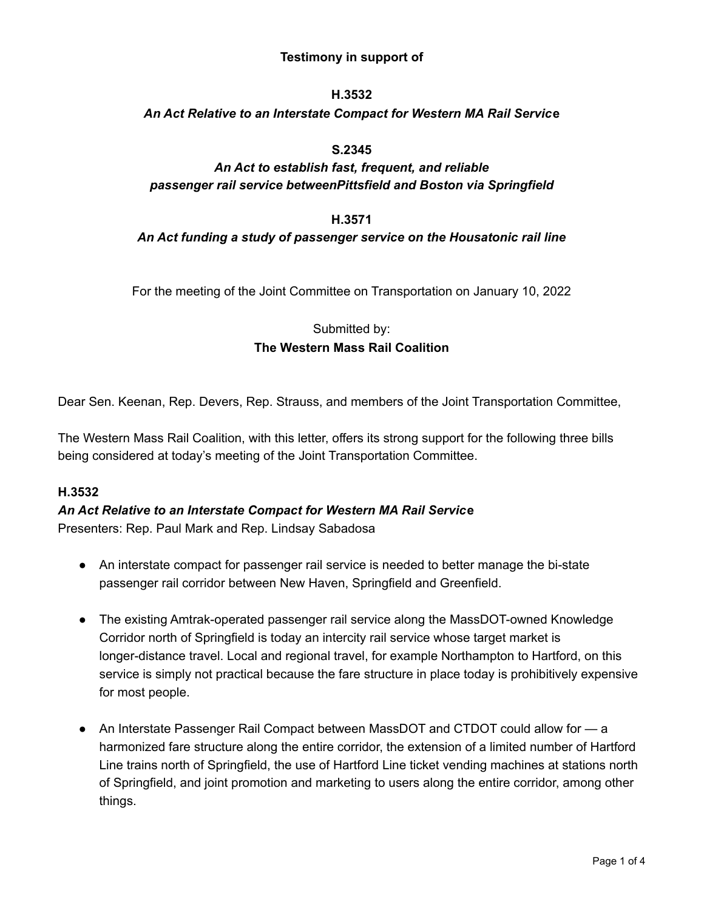# **Testimony in support of**

## **H.3532**

## *An Act Relative to an Interstate Compact for Western MA Rail Servic***e**

## **S.2345**

# *An Act to establish fast, frequent, and reliable passenger rail service betweenPittsfield and Boston via Springfield*

#### **H.3571**

# *An Act funding a study of passenger service on the Housatonic rail line*

For the meeting of the Joint Committee on Transportation on January 10, 2022

# Submitted by: **The Western Mass Rail Coalition**

Dear Sen. Keenan, Rep. Devers, Rep. Strauss, and members of the Joint Transportation Committee,

The Western Mass Rail Coalition, with this letter, offers its strong support for the following three bills being considered at today's meeting of the Joint Transportation Committee.

### **H.3532**

# *An Act Relative to an Interstate Compact for Western MA Rail Servic***e** Presenters: Rep. Paul Mark and Rep. Lindsay Sabadosa

- An interstate compact for passenger rail service is needed to better manage the bi-state passenger rail corridor between New Haven, Springfield and Greenfield.
- The existing Amtrak-operated passenger rail service along the MassDOT-owned Knowledge Corridor north of Springfield is today an intercity rail service whose target market is longer-distance travel. Local and regional travel, for example Northampton to Hartford, on this service is simply not practical because the fare structure in place today is prohibitively expensive for most people.
- An Interstate Passenger Rail Compact between MassDOT and CTDOT could allow for a harmonized fare structure along the entire corridor, the extension of a limited number of Hartford Line trains north of Springfield, the use of Hartford Line ticket vending machines at stations north of Springfield, and joint promotion and marketing to users along the entire corridor, among other things.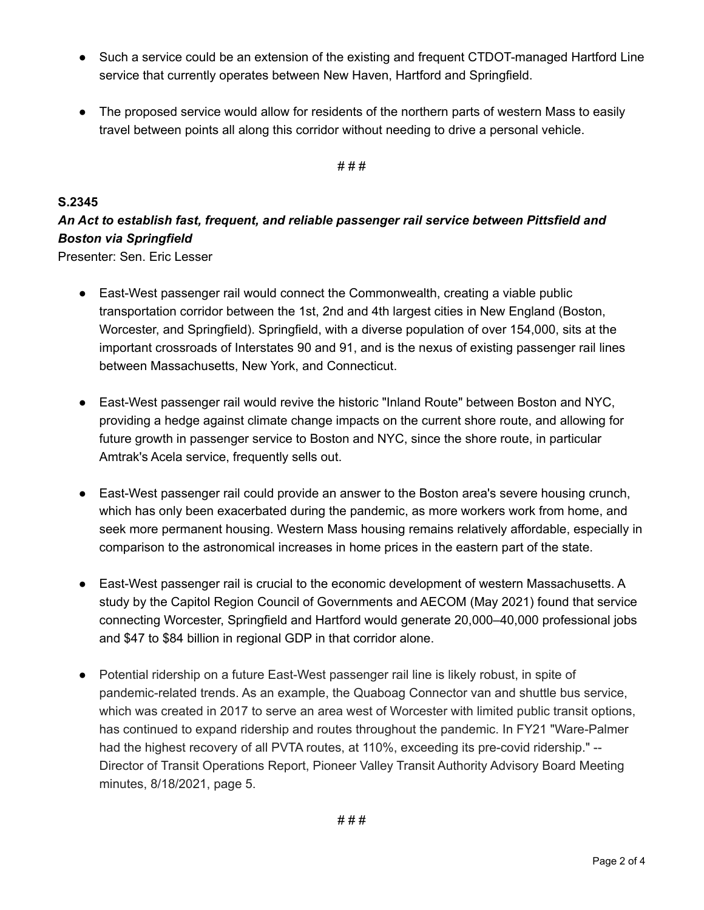- Such a service could be an extension of the existing and frequent CTDOT-managed Hartford Line service that currently operates between New Haven, Hartford and Springfield.
- The proposed service would allow for residents of the northern parts of western Mass to easily travel between points all along this corridor without needing to drive a personal vehicle.

#### # # #

# **S.2345**

# *An Act to establish fast, frequent, and reliable passenger rail service between Pittsfield and Boston via Springfield*

Presenter: Sen. Eric Lesser

- East-West passenger rail would connect the Commonwealth, creating a viable public transportation corridor between the 1st, 2nd and 4th largest cities in New England (Boston, Worcester, and Springfield). Springfield, with a diverse population of over 154,000, sits at the important crossroads of Interstates 90 and 91, and is the nexus of existing passenger rail lines between Massachusetts, New York, and Connecticut.
- East-West passenger rail would revive the historic "Inland Route" between Boston and NYC, providing a hedge against climate change impacts on the current shore route, and allowing for future growth in passenger service to Boston and NYC, since the shore route, in particular Amtrak's Acela service, frequently sells out.
- East-West passenger rail could provide an answer to the Boston area's severe housing crunch, which has only been exacerbated during the pandemic, as more workers work from home, and seek more permanent housing. Western Mass housing remains relatively affordable, especially in comparison to the astronomical increases in home prices in the eastern part of the state.
- East-West passenger rail is crucial to the economic development of western Massachusetts. A study by the Capitol Region Council of Governments and AECOM (May 2021) found that service connecting Worcester, Springfield and Hartford would generate 20,000–40,000 professional jobs and \$47 to \$84 billion in regional GDP in that corridor alone.
- Potential ridership on a future East-West passenger rail line is likely robust, in spite of pandemic-related trends. As an example, the Quaboag Connector van and shuttle bus service, which was created in 2017 to serve an area west of Worcester with limited public transit options, has continued to expand ridership and routes throughout the pandemic. In FY21 "Ware-Palmer had the highest recovery of all PVTA routes, at 110%, exceeding its pre-covid ridership." -- Director of Transit Operations Report, Pioneer Valley Transit Authority Advisory Board Meeting minutes, 8/18/2021, page 5.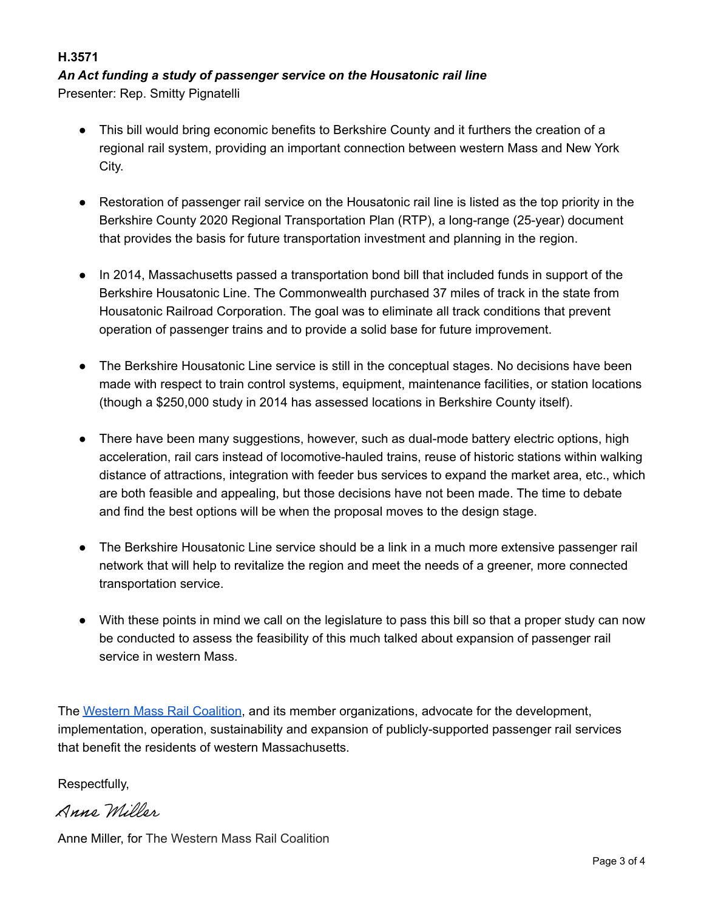# **H.3571**

# *An Act funding a study of passenger service on the Housatonic rail line*

Presenter: Rep. Smitty Pignatelli

- This bill would bring economic benefits to Berkshire County and it furthers the creation of a regional rail system, providing an important connection between western Mass and New York City.
- Restoration of passenger rail service on the Housatonic rail line is listed as the top priority in the Berkshire County 2020 Regional Transportation Plan (RTP), a long-range (25-year) document that provides the basis for future transportation investment and planning in the region.
- In 2014, Massachusetts passed a transportation bond bill that included funds in support of the Berkshire Housatonic Line. The Commonwealth purchased 37 miles of track in the state from Housatonic Railroad Corporation. The goal was to eliminate all track conditions that prevent operation of passenger trains and to provide a solid base for future improvement.
- The Berkshire Housatonic Line service is still in the conceptual stages. No decisions have been made with respect to train control systems, equipment, maintenance facilities, or station locations (though a \$250,000 study in 2014 has assessed locations in Berkshire County itself).
- There have been many suggestions, however, such as dual-mode battery electric options, high acceleration, rail cars instead of locomotive-hauled trains, reuse of historic stations within walking distance of attractions, integration with feeder bus services to expand the market area, etc., which are both feasible and appealing, but those decisions have not been made. The time to debate and find the best options will be when the proposal moves to the design stage.
- The Berkshire Housatonic Line service should be a link in a much more extensive passenger rail network that will help to revitalize the region and meet the needs of a greener, more connected transportation service.
- With these points in mind we call on the legislature to pass this bill so that a proper study can now be conducted to assess the feasibility of this much talked about expansion of passenger rail service in western Mass.

The [Western Mass Rail Coalition](https://trainsinthevalley.org/western-mass-rail-coalition/), and its member organizations, advocate for the development, implementation, operation, sustainability and expansion of publicly-supported passenger rail services that benefit the residents of western Massachusetts.

Respectfully,

Anno Millon

Anne Miller, for [The Western Mass Rail Coalition](https://trainsinthevalley.org/western-mass-rail-coalition/)